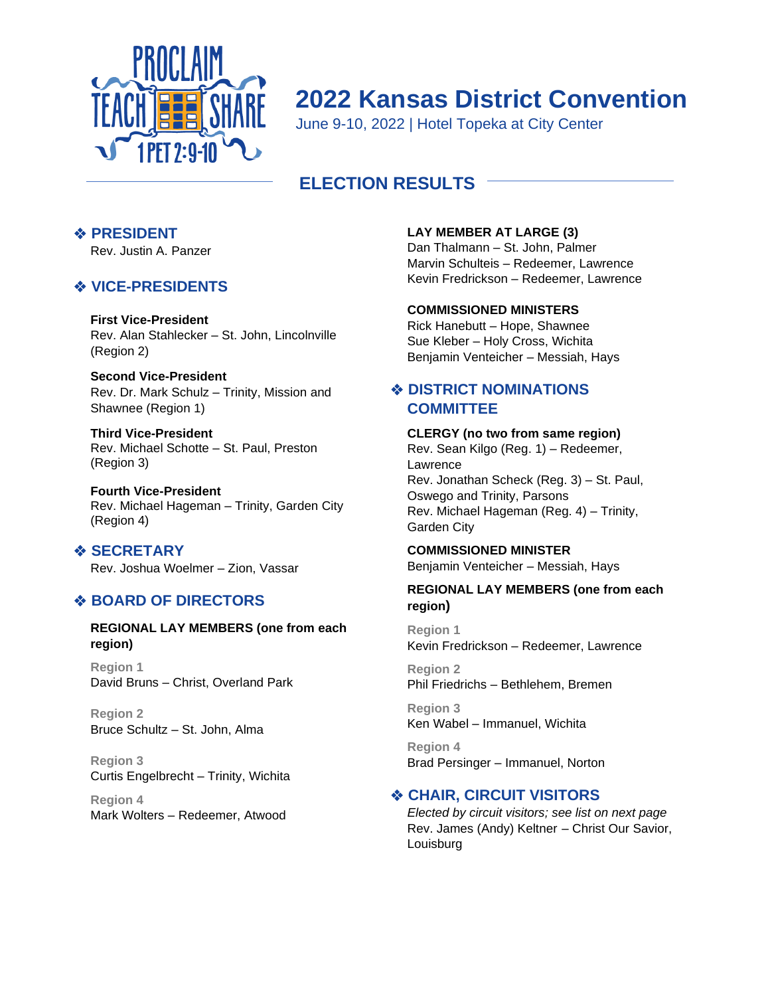

# **2022 Kansas District Convention**

June 9-10, 2022 | Hotel Topeka at City Center

# **ELECTION RESULTS**

# ❖ **PRESIDENT**

Rev. Justin A. Panzer

# ❖ **VICE-PRESIDENTS**

## **First Vice-President**

Rev. Alan Stahlecker – St. John, Lincolnville (Region 2)

**Second Vice-President** Rev. Dr. Mark Schulz – Trinity, Mission and Shawnee (Region 1)

**Third Vice-President** Rev. Michael Schotte – St. Paul, Preston (Region 3)

**Fourth Vice-President** Rev. Michael Hageman – Trinity, Garden City (Region 4)

❖ **SECRETARY** Rev. Joshua Woelmer – Zion, Vassar

## ❖ **BOARD OF DIRECTORS**

### **REGIONAL LAY MEMBERS (one from each region)**

**Region 1** David Bruns – Christ, Overland Park

**Region 2** Bruce Schultz – St. John, Alma

**Region 3**  Curtis Engelbrecht – Trinity, Wichita

**Region 4**  Mark Wolters – Redeemer, Atwood

## **LAY MEMBER AT LARGE (3)**

Dan Thalmann – St. John, Palmer Marvin Schulteis – Redeemer, Lawrence Kevin Fredrickson – Redeemer, Lawrence

### **COMMISSIONED MINISTERS**

Rick Hanebutt – Hope, Shawnee Sue Kleber – Holy Cross, Wichita Benjamin Venteicher – Messiah, Hays

## ❖ **DISTRICT NOMINATIONS COMMITTEE**

## **CLERGY (no two from same region)**

Rev. Sean Kilgo (Reg. 1) – Redeemer, Lawrence Rev. Jonathan Scheck (Reg. 3) – St. Paul, Oswego and Trinity, Parsons Rev. Michael Hageman (Reg. 4) – Trinity, Garden City

### **COMMISSIONED MINISTER**

Benjamin Venteicher – Messiah, Hays

## **REGIONAL LAY MEMBERS (one from each region)**

**Region 1** Kevin Fredrickson – Redeemer, Lawrence

**Region 2**  Phil Friedrichs – Bethlehem, Bremen

**Region 3**  Ken Wabel – Immanuel, Wichita

**Region 4**  Brad Persinger – Immanuel, Norton

## ❖ **CHAIR, CIRCUIT VISITORS**

*Elected by circuit visitors; see list on next page* Rev. James (Andy) Keltner – Christ Our Savior, Louisburg